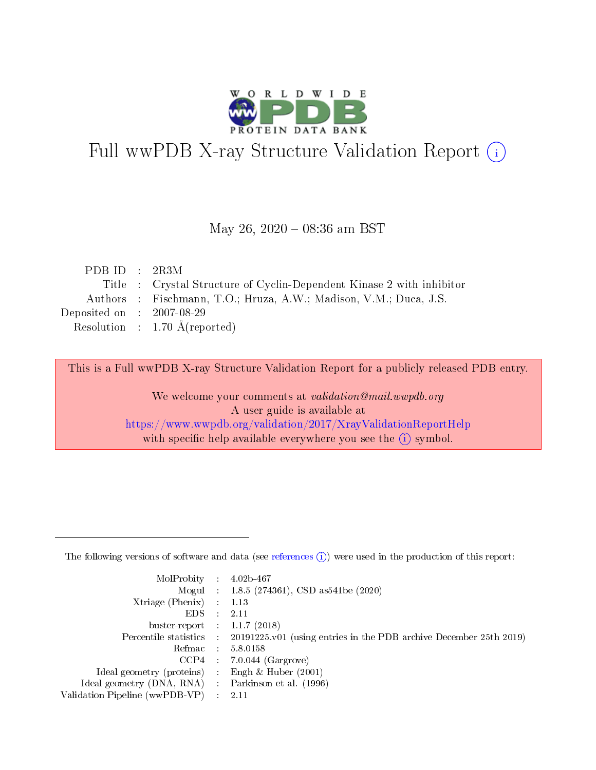

# Full wwPDB X-ray Structure Validation Report (i)

### May 26, 2020 - 08:36 am BST

| PDB ID : $2R3M$             |                                                                       |
|-----------------------------|-----------------------------------------------------------------------|
|                             | Title : Crystal Structure of Cyclin-Dependent Kinase 2 with inhibitor |
|                             | Authors : Fischmann, T.O.; Hruza, A.W.; Madison, V.M.; Duca, J.S.     |
| Deposited on : $2007-08-29$ |                                                                       |
|                             | Resolution : $1.70 \text{ Å}$ (reported)                              |
|                             |                                                                       |

This is a Full wwPDB X-ray Structure Validation Report for a publicly released PDB entry.

We welcome your comments at validation@mail.wwpdb.org A user guide is available at <https://www.wwpdb.org/validation/2017/XrayValidationReportHelp> with specific help available everywhere you see the  $(i)$  symbol.

The following versions of software and data (see [references](https://www.wwpdb.org/validation/2017/XrayValidationReportHelp#references)  $(1)$ ) were used in the production of this report:

| $MolProbability$ 4.02b-467                          |               |                                                                                            |
|-----------------------------------------------------|---------------|--------------------------------------------------------------------------------------------|
|                                                     |               | Mogul : 1.8.5 (274361), CSD as 541be (2020)                                                |
| $Xtriangle (Phenix)$ : 1.13                         |               |                                                                                            |
| EDS -                                               | $\mathcal{L}$ | 2.11                                                                                       |
| buster-report : $1.1.7(2018)$                       |               |                                                                                            |
|                                                     |               | Percentile statistics : 20191225.v01 (using entries in the PDB archive December 25th 2019) |
| Refmac $5.8.0158$                                   |               |                                                                                            |
|                                                     |               | $CCP4$ : 7.0.044 (Gargrove)                                                                |
| Ideal geometry (proteins) :                         |               | Engh $\&$ Huber (2001)                                                                     |
| Ideal geometry (DNA, RNA) : Parkinson et al. (1996) |               |                                                                                            |
| Validation Pipeline (wwPDB-VP) : 2.11               |               |                                                                                            |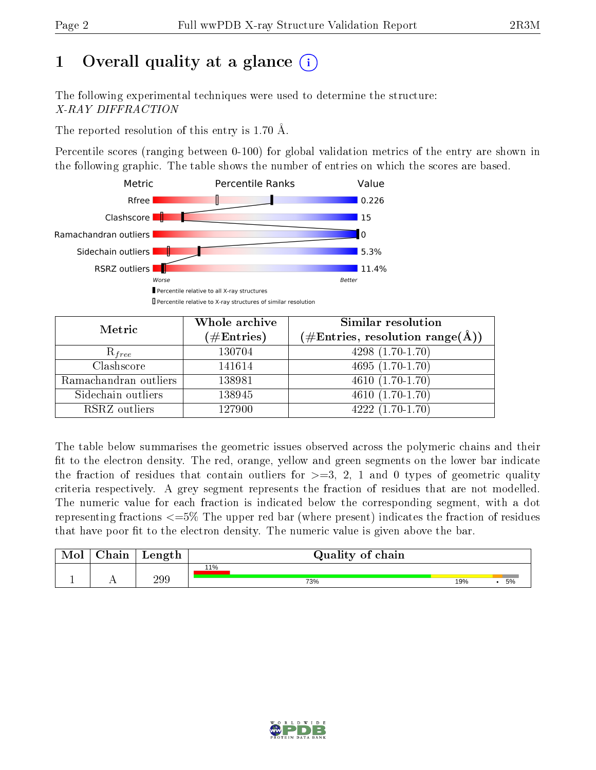## 1 [O](https://www.wwpdb.org/validation/2017/XrayValidationReportHelp#overall_quality)verall quality at a glance  $(i)$

The following experimental techniques were used to determine the structure: X-RAY DIFFRACTION

The reported resolution of this entry is 1.70 Å.

Percentile scores (ranging between 0-100) for global validation metrics of the entry are shown in the following graphic. The table shows the number of entries on which the scores are based.



| Metric                | Whole archive        | Similar resolution                                                     |
|-----------------------|----------------------|------------------------------------------------------------------------|
|                       | $(\#\text{Entries})$ | $(\#\text{Entries},\,\text{resolution}\,\,\text{range}(\textup{\AA}))$ |
| $R_{free}$            | 130704               | $4298(1.70-1.70)$                                                      |
| Clashscore            | 141614               | $4695(1.70-1.70)$                                                      |
| Ramachandran outliers | 138981               | $4610(1.70-1.70)$                                                      |
| Sidechain outliers    | 138945               | $4610(1.70-1.70)$                                                      |
| RSRZ outliers         | 127900               | $4222(1.70-1.70)$                                                      |

The table below summarises the geometric issues observed across the polymeric chains and their fit to the electron density. The red, orange, yellow and green segments on the lower bar indicate the fraction of residues that contain outliers for  $>=3, 2, 1$  and 0 types of geometric quality criteria respectively. A grey segment represents the fraction of residues that are not modelled. The numeric value for each fraction is indicated below the corresponding segment, with a dot representing fractions  $\epsilon=5\%$  The upper red bar (where present) indicates the fraction of residues that have poor fit to the electron density. The numeric value is given above the bar.

| Mol       | $\alpha$ hain | Length | Quality of chain |     |    |
|-----------|---------------|--------|------------------|-----|----|
|           |               |        | 11%              |     |    |
| <u>д.</u> | . .           | 299    | 73%              | 19% | 5% |

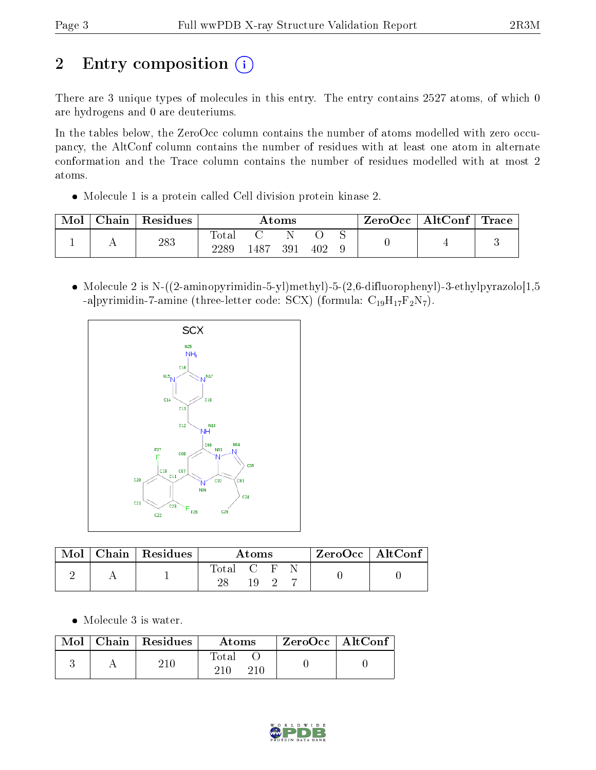# 2 Entry composition (i)

There are 3 unique types of molecules in this entry. The entry contains 2527 atoms, of which 0 are hydrogens and 0 are deuteriums.

In the tables below, the ZeroOcc column contains the number of atoms modelled with zero occupancy, the AltConf column contains the number of residues with at least one atom in alternate conformation and the Trace column contains the number of residues modelled with at most 2 atoms.

Molecule 1 is a protein called Cell division protein kinase 2.

| Mol | Chain | Residues | Atoms                     |      |     | ZeroOcc | $\vert$ AltConf $\vert$ Trace |  |  |  |
|-----|-------|----------|---------------------------|------|-----|---------|-------------------------------|--|--|--|
|     |       | 283      | $\mathrm{Tota}_1$<br>2289 | 1487 | 391 | 402     |                               |  |  |  |

• Molecule 2 is N- $((2\text{-anninopyrimidin-5-yl)methyl})-5-(2,6\text{-difluorophenyl})-3\text{-ethylpyrazolo}[1,5]$ -a|pyrimidin-7-amine (three-letter code: SCX) (formula:  $C_{19}H_{17}F_2N_7$ ).



| Mol | $\vert$ Chain $\vert$ Residues |           | Atoms |  | $ZeroOcc \   \ AltConf$ |  |
|-----|--------------------------------|-----------|-------|--|-------------------------|--|
|     |                                | Total C F | 19    |  |                         |  |

Molecule 3 is water.

|  | $\text{Mol}$   Chain   Residues | Atoms               | $ZeroOcc \   \ AltConf$ |  |
|--|---------------------------------|---------------------|-------------------------|--|
|  |                                 | Total<br>210<br>210 |                         |  |

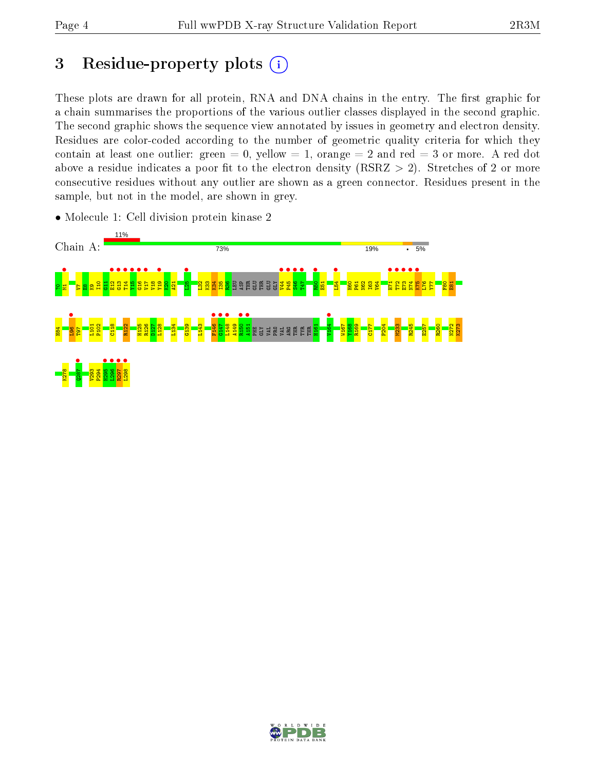## 3 Residue-property plots  $(i)$

These plots are drawn for all protein, RNA and DNA chains in the entry. The first graphic for a chain summarises the proportions of the various outlier classes displayed in the second graphic. The second graphic shows the sequence view annotated by issues in geometry and electron density. Residues are color-coded according to the number of geometric quality criteria for which they contain at least one outlier: green  $= 0$ , yellow  $= 1$ , orange  $= 2$  and red  $= 3$  or more. A red dot above a residue indicates a poor fit to the electron density (RSRZ  $> 2$ ). Stretches of 2 or more consecutive residues without any outlier are shown as a green connector. Residues present in the sample, but not in the model, are shown in grey.



• Molecule 1: Cell division protein kinase 2

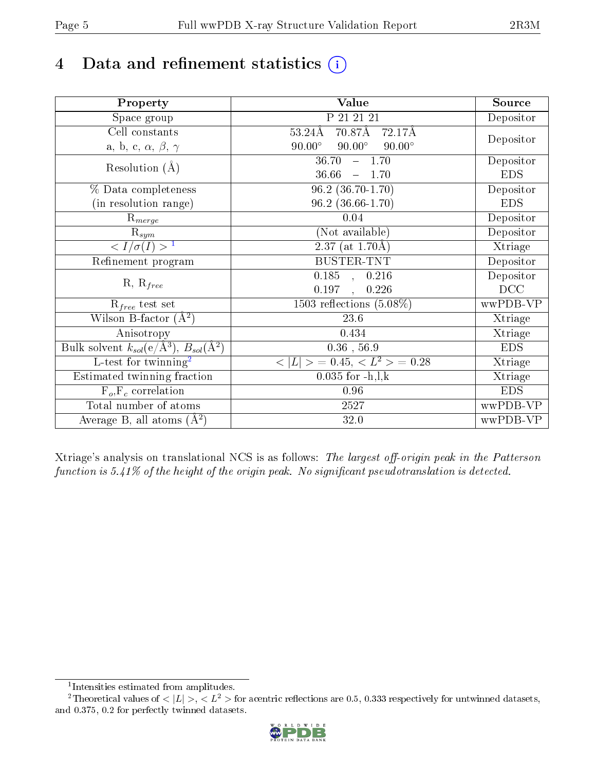# 4 Data and refinement statistics  $(i)$

| Property                                                   | Value                                           | Source     |
|------------------------------------------------------------|-------------------------------------------------|------------|
| Space group                                                | P 21 21 21                                      | Depositor  |
| Cell constants                                             | 70.87Å<br>$53.24\text{\AA}$<br>72.17Å           |            |
| a, b, c, $\alpha$ , $\beta$ , $\gamma$                     | $90.00^\circ$<br>$90.00^\circ$<br>$90.00^\circ$ | Depositor  |
| Resolution $(A)$                                           | 36.70<br>$-1.70$                                | Depositor  |
|                                                            | 36.66<br>$-1.70$                                | <b>EDS</b> |
| % Data completeness                                        | $96.2$ $(36.70-1.70)$                           | Depositor  |
| (in resolution range)                                      | $96.2$ $(36.66 - 1.70)$                         | <b>EDS</b> |
| $\mathrm{R}_{merge}$                                       | 0.04                                            | Depositor  |
| $\mathrm{R}_{sym}$                                         | (Not available)                                 | Depositor  |
| $\langle I/\sigma(I) \rangle^{-1}$                         | $\overline{2.37}$ (at 1.70Å)                    | Xtriage    |
| Refinement program                                         | <b>BUSTER-TNT</b>                               | Depositor  |
|                                                            | 0.185, 0.216                                    | Depositor  |
| $R, R_{free}$                                              | 0.197<br>0.226<br>$\ddot{\phantom{a}}$          | DCC        |
| $R_{free}$ test set                                        | 1503 reflections $(5.08\%)$                     | wwPDB-VP   |
| Wilson B-factor $(A^2)$                                    | 23.6                                            | Xtriage    |
| Anisotropy                                                 | 0.434                                           | Xtriage    |
| Bulk solvent $k_{sol}$ (e/Å <sup>3</sup> ), $B_{sol}(A^2)$ | $0.36$ , 56.9                                   | <b>EDS</b> |
| $\overline{L-test for}$ twinning <sup>2</sup>              | $< L >$ = 0.45, $< L^2 >$ = 0.28                | Xtriage    |
| Estimated twinning fraction                                | $0.035$ for $-h, l, k$                          | Xtriage    |
| $F_o, F_c$ correlation                                     | 0.96                                            | <b>EDS</b> |
| Total number of atoms                                      | 2527                                            | wwPDB-VP   |
| Average B, all atoms $(A^2)$                               | 32.0                                            | wwPDB-VP   |

Xtriage's analysis on translational NCS is as follows: The largest off-origin peak in the Patterson function is  $5.41\%$  of the height of the origin peak. No significant pseudotranslation is detected.

<sup>&</sup>lt;sup>2</sup>Theoretical values of  $\langle |L| \rangle$ ,  $\langle L^2 \rangle$  for acentric reflections are 0.5, 0.333 respectively for untwinned datasets, and 0.375, 0.2 for perfectly twinned datasets.



<span id="page-4-1"></span><span id="page-4-0"></span><sup>1</sup> Intensities estimated from amplitudes.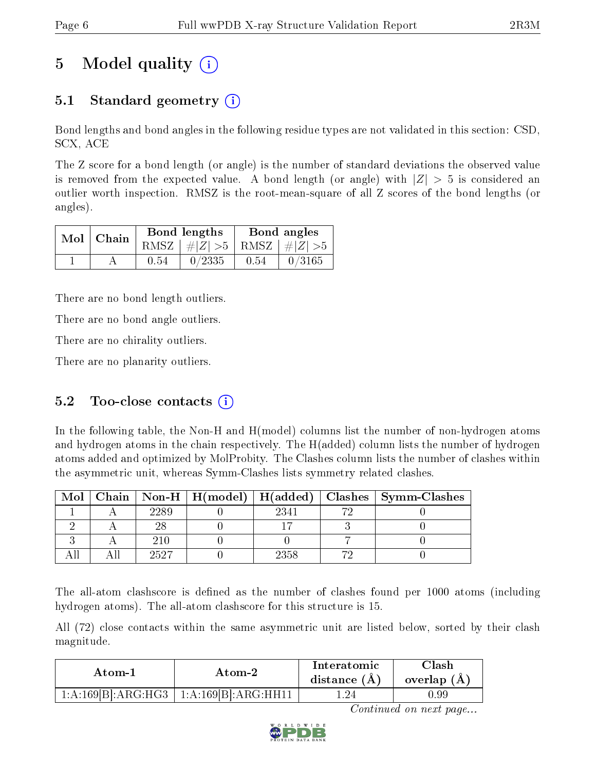# 5 Model quality  $(i)$

### 5.1 Standard geometry (i)

Bond lengths and bond angles in the following residue types are not validated in this section: CSD, SCX, ACE

The Z score for a bond length (or angle) is the number of standard deviations the observed value is removed from the expected value. A bond length (or angle) with  $|Z| > 5$  is considered an outlier worth inspection. RMSZ is the root-mean-square of all Z scores of the bond lengths (or angles).

| $Mol$   Chain |      | Bond lengths                    |      | Bond angles                            |
|---------------|------|---------------------------------|------|----------------------------------------|
|               |      | RMSZ $ #Z  > 5$ RMSZ $ #Z  > 5$ |      |                                        |
|               | 0.54 | 0/2335                          | 0.54 | $\begin{array}{ c} 0/3165 \end{array}$ |

There are no bond length outliers.

There are no bond angle outliers.

There are no chirality outliers.

There are no planarity outliers.

#### 5.2 Too-close contacts  $(i)$

In the following table, the Non-H and H(model) columns list the number of non-hydrogen atoms and hydrogen atoms in the chain respectively. The H(added) column lists the number of hydrogen atoms added and optimized by MolProbity. The Clashes column lists the number of clashes within the asymmetric unit, whereas Symm-Clashes lists symmetry related clashes.

| Mol |      |      | Chain   Non-H   H(model)   H(added)   Clashes   Symm-Clashes |
|-----|------|------|--------------------------------------------------------------|
|     | 2289 | 2341 |                                                              |
|     |      |      |                                                              |
|     | 210  |      |                                                              |
|     | 2527 | 2358 |                                                              |

The all-atom clashscore is defined as the number of clashes found per 1000 atoms (including hydrogen atoms). The all-atom clashscore for this structure is 15.

All (72) close contacts within the same asymmetric unit are listed below, sorted by their clash magnitude.

| Atom-1             | Atom-2              | Interatomic<br>distance $(A)$ | Clash<br>overlap $(A)$ |
|--------------------|---------------------|-------------------------------|------------------------|
| 1:A:169[B]:ARG:HG3 | 1:A:169[B]:ARG:HH11 | 1.24                          | 0.99                   |

Continued on next page...

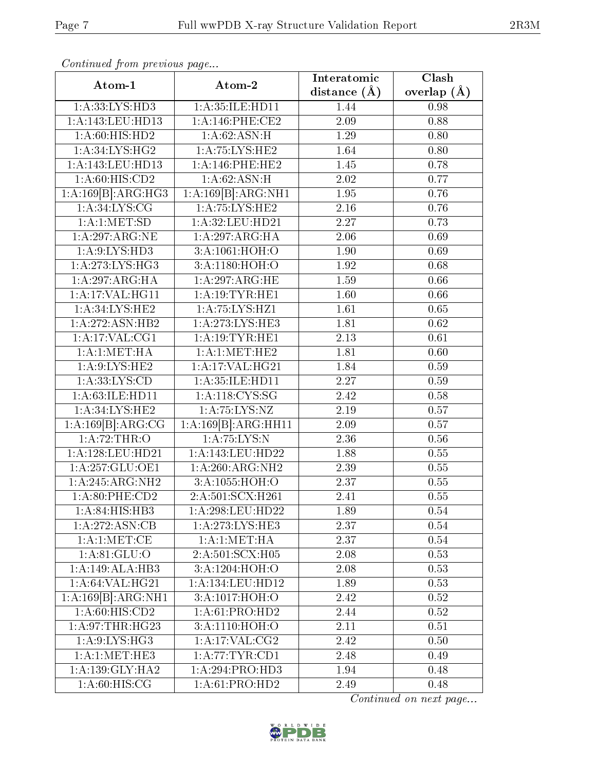| Continued from previous page |                                    | Interatomic    | $\overline{\text{Clash}}$ |  |
|------------------------------|------------------------------------|----------------|---------------------------|--|
| Atom-1                       | Atom-2                             | distance $(A)$ | overlap $(\AA)$           |  |
| 1:A:33:LYS:HD3               | 1:A:35:ILE:HD11                    | 1.44           | 0.98                      |  |
| 1:A:143:LEU:HD13             | 1: A:146:PHE:CE2                   | 2.09           | 0.88                      |  |
| 1:A:60:HIS:HD2               | 1:A:62:ASN:H                       | 1.29           | 0.80                      |  |
| 1: A:34:LYS:HG2              | 1:A:75:LYS:HE2                     | 1.64           | 0.80                      |  |
| 1:A:143:LEU:HD13             | 1: A:146: PHE:HE2                  | 1.45           | 0.78                      |  |
| 1: A:60: HIS:CD2             | 1: A:62: ASN:H                     | 2.02           | 0.77                      |  |
| 1:A:169[B]:ARG:HG3           | 1:A:169[B]:ARG:NH1                 | 1.95           | 0.76                      |  |
| 1: A:34:LYS:CG               | 1: A:75: LYS: HE2                  | 2.16           | 0.76                      |  |
| 1: A:1: MET:SD               | 1:A:32:LEU:HD21                    | 2.27           | 0.73                      |  |
| 1:A:297:ARG:NE               | $1:A:297:\overline{\text{ARG:H}A}$ | 2.06           | 0.69                      |  |
| 1: A:9: LYS: HD3             | 3:A:1061:HOH:O                     | 1.90           | 0.69                      |  |
| 1:A:273:LYS:HG3              | 3:A:1180:HOH:O                     | 1.92           | 0.68                      |  |
| 1:A:297:ARG:HA               | 1:A:297:ARG:HE                     | 1.59           | 0.66                      |  |
| 1:A:17:VAL:HG11              | 1:A:19:TYR:HE1                     | 1.60           | 0.66                      |  |
| 1: A:34: LYS: HE2            | 1:A:75:LYS:HZ1                     | 1.61           | 0.65                      |  |
| 1:A:272:ASN:HB2              | 1: A:273: LYS: HE3                 | 1.81           | 0.62                      |  |
| 1:A:17:VAL:CG1               | 1:A:19:TYR:HE1                     | 2.13           | 0.61                      |  |
| 1: A:1: MET:HA               | 1:A:1:MET:HE2                      | 1.81           | 0.60                      |  |
| 1: A:9: LYS: HE2             | 1: A:17: VAL:HG21                  | 1.84           | 0.59                      |  |
| 1: A: 33: LYS: CD            | 1:A:35:ILE:HD11                    | 2.27           | 0.59                      |  |
| 1:A:63:ILE:HD11              | 1: A:118: CYS:SG                   | 2.42           | 0.58                      |  |
| 1: A:34: LYS: HE2            | 1:A:75:LYS:NZ                      | 2.19           | 0.57                      |  |
| 1:A:169[B]:ARG:CG            | 1:A:169[B]:ARG:HH11                | 2.09           | 0.57                      |  |
| 1:A:72:THR:O                 | 1: A: 75: LYS: N                   | 2.36           | 0.56                      |  |
| 1:A:128:LEU:HD21             | 1:A:143:LEU:HD22                   | 1.88           | 0.55                      |  |
| 1: A:257: GLU:OE1            | 1:A:260:ARG:NH2                    | 2.39           | 0.55                      |  |
| 1:A:245:ARG:NH2              | 3:A:1055:HOH:O                     | 2.37           | 0.55                      |  |
| 1:A:80:PHE:CD2               | 2: A:501:SCX: H261                 | 2.41           | 0.55                      |  |
| 1:A:84:HTS:HB3               | $1:$ A:298:LEU:HD22                | 1.89           | 0.54                      |  |
| 1:A:272:ASN:CB               | 1: A:273: LYS: HE3                 | 2.37           | 0.54                      |  |
| 1: A: 1: MET: CE             | 1: A:1: MET:HA                     | 2.37           | 0.54                      |  |
| 1: A:81: GLU:O               | 2:A:501:SCX:H05                    | 2.08           | 0.53                      |  |
| 1:A:149:ALA:HB3              | 3:A:1204:HOH:O                     | 2.08           | 0.53                      |  |
| 1: A:64:VAL:HG21             | 1:A:134:LEU:HD12                   | 1.89           | 0.53                      |  |
| 1:A:169[B]:ARG:NH1           | 3:A:1017:HOH:O                     | 2.42           | 0.52                      |  |
| 1: A:60: HIS:CD2             | 1: A:61: PRO:HD2                   | 2.44           | 0.52                      |  |
| 1: A:97:THR:HG23             | 3:A:1110:HOH:O                     | 2.11           | 0.51                      |  |
| 1: A:9: LYS: HG3             | $1:$ A:17:VAL:CG2                  | 2.42           | 0.50                      |  |
| 1:A:1:MET:HE3                | 1: A:77:TYR:CD1                    | 2.48           | 0.49                      |  |
| 1:A:139:GLY:HA2              | 1:A:294:PRO:HD3                    | 1.94           | 0.48                      |  |
| 1: A:60: HIS: CG             | $1:A:61:P\overline{RO:HD2}$        | 2.49           | 0.48                      |  |

Continued from previous page.

Continued on next page...

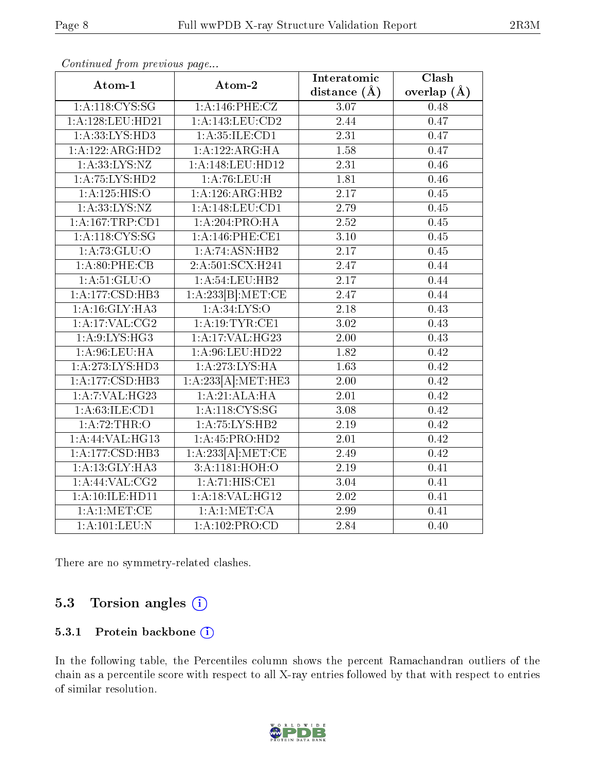| Atom-1                      | Atom-2                             | Interatomic       | Clash             |  |
|-----------------------------|------------------------------------|-------------------|-------------------|--|
|                             |                                    | distance $(\AA)$  | overlap $(\AA)$   |  |
| 1: A:118: CYS:SG            | 1:A:146:PHE:CZ                     | 3.07              | 0.48              |  |
| 1:A:128:LEU:HD21            | 1:A:143:LEU:CD2                    | 2.44              | 0.47              |  |
| 1:A:33:LYS:HD3              | 1:A:35:ILE:CD1                     | 2.31              | 0.47              |  |
| 1:A:122:ARG:HD2             | 1:A:122:ARG:HA                     | 1.58              | 0.47              |  |
| 1: A: 33: LYS: NZ           | 1:A:148:LEU:HD12                   | 2.31              | 0.46              |  |
| 1:A:75:LYS:HD2              | 1:A:76:LEU:H                       | 1.81              | 0.46              |  |
| 1: A: 125: HIS: O           | 1:A:126:ARG:HB2                    | $\overline{2.17}$ | 0.45              |  |
| 1: A: 33: LYS: NZ           | 1:A:148:LEU:CD1                    | 2.79              | 0.45              |  |
| 1:A:167:TRP:CD1             | 1:A:204:PRO:HA                     | $\overline{2.52}$ | 0.45              |  |
| 1: A:118:CYS:SG             | 1: A:146:PHE:CE1                   | $\overline{3.10}$ | 0.45              |  |
| 1: A: 73: GLU:O             | 1:A:74:ASN:HB2                     | 2.17              | 0.45              |  |
| 1: A:80:PHE:CB              | 2:A:501:SCX:H241                   | 2.47              | 0.44              |  |
| $1: A:51: \overline{GLU:O}$ | 1:A:54:LEU:HB2                     | $\overline{2.17}$ | 0.44              |  |
| 1:A:177:CSD:HB3             | 1:A:233[B]: MET:CE                 | $\overline{2.47}$ | 0.44              |  |
| 1:A:16:GLY:HA3              | 1:A:34:LYS:O                       | 2.18              | 0.43              |  |
| 1:A:17:VAL:CG2              | 1: A:19:TYR:CE1                    | 3.02              | 0.43              |  |
| 1: A:9: LYS: HG3            | 1:A:17:VAL:H G23                   | 2.00              | 0.43              |  |
| 1: A:96: LEU: HA            | 1:A:96:LEU:HD22                    | 1.82              | 0.42              |  |
| 1: A:273: LYS: HD3          | 1: A:273: LYS: HA                  | 1.63              | $\overline{0.42}$ |  |
| 1:A:177:CSD:HB3             | 1:A:233[A]:MET:HE3                 | 2.00              | 0.42              |  |
| 1:A:7:VAL:HG23              | 1:A:21:ALA:H                       | 2.01              | $0.\overline{42}$ |  |
| 1: A:63: ILE: CD1           | 1: A:118:CYS:SG                    | 3.08              | 0.42              |  |
| 1: A:72:THR:O               | 1:A:75:LYS:HB2                     | 2.19              | 0.42              |  |
| 1:A:44:VAL:H G13            | 1:A:45:PRO:HD2                     | 2.01              | 0.42              |  |
| 1:A:177:CSD:HB3             | 1:A:233[A]:MET:CE                  | 2.49              | 0.42              |  |
| 1: A:13: GLY: HA3           | 3:A:1181:HOH:O                     | $\overline{2.19}$ | $\overline{0.41}$ |  |
| $1:$ A:44:VAL:CG2           | $1:A:71:\overline{\text{HIS:CE1}}$ | 3.04              | 0.41              |  |
| 1:A:10:ILE:HD11             | 1:A:18:VAL:HG12                    | 2.02              | 0.41              |  |
| 1: A:1: MET:CE              | 1: A:1: MET:CA                     | 2.99              | 0.41              |  |
| 1: A: 101: LEU: N           | $1:A:102:\overline{\text{PRO:CD}}$ | 2.84              | 0.40              |  |

Continued from previous page...

There are no symmetry-related clashes.

### 5.3 Torsion angles  $(i)$

#### 5.3.1 Protein backbone (i)

In the following table, the Percentiles column shows the percent Ramachandran outliers of the chain as a percentile score with respect to all X-ray entries followed by that with respect to entries of similar resolution.

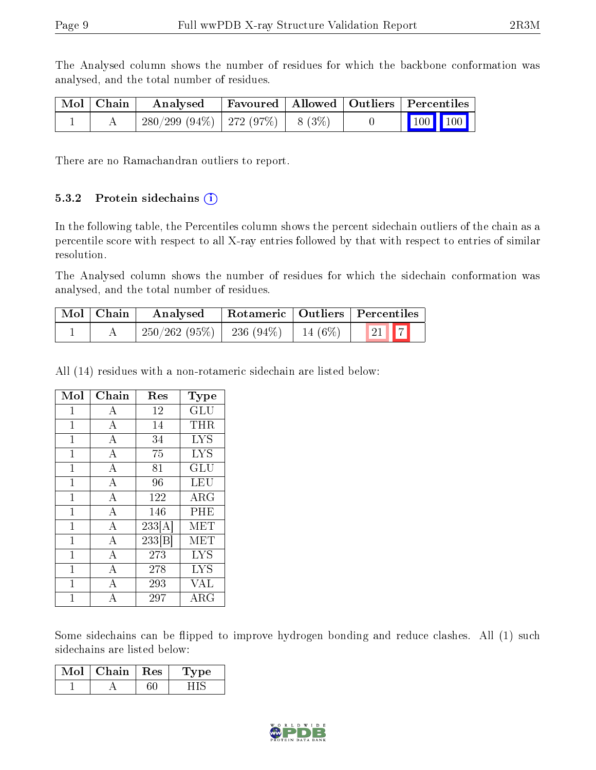The Analysed column shows the number of residues for which the backbone conformation was analysed, and the total number of residues.

| $\sqrt{\text{Mol}}$ Chain | Analysed                                |  | Favoured   Allowed   Outliers   Percentiles |  |
|---------------------------|-----------------------------------------|--|---------------------------------------------|--|
|                           | $280/299$ (94\%)   272 (97\%)   8 (3\%) |  | $\vert$ 100 100 $\vert$                     |  |

There are no Ramachandran outliers to report.

#### 5.3.2 Protein sidechains  $(i)$

In the following table, the Percentiles column shows the percent sidechain outliers of the chain as a percentile score with respect to all X-ray entries followed by that with respect to entries of similar resolution.

The Analysed column shows the number of residues for which the sidechain conformation was analysed, and the total number of residues.

| $\mid$ Mol $\mid$ Chain | Rotameric   Outliers   Percentiles<br>Analysed |  |                                |  |  |
|-------------------------|------------------------------------------------|--|--------------------------------|--|--|
|                         | $250/262$ (95\%)   236 (94\%)   14 (6\%)       |  | $\vert 21 \vert \vert 7 \vert$ |  |  |

All (14) residues with a non-rotameric sidechain are listed below:

| Mol          | Chain            | Res                 | <b>Type</b>          |
|--------------|------------------|---------------------|----------------------|
| $\mathbf{1}$ | A                | 12                  | $\operatorname{GLU}$ |
| $\mathbf{1}$ | A                | 14                  | <b>THR</b>           |
| $\mathbf{1}$ | $\bf{A}$         | 34                  | LYS                  |
| $\mathbf 1$  | $\boldsymbol{A}$ | 75                  | <b>LYS</b>           |
| $\mathbf{1}$ | $\bf{A}$         | 81                  | $\operatorname{GLU}$ |
| $\mathbf{1}$ | A                | 96                  | LEU                  |
| $\mathbf{1}$ | A                | 122                 | $\rm{ARG}$           |
| $\mathbf{1}$ | A                | 146                 | PHE                  |
| $\mathbf{1}$ | A                | 233[A]              | MET                  |
| $\mathbf 1$  | A                | $\overline{233 B }$ | MET                  |
| $\mathbf{1}$ | A                | 273                 | <b>LYS</b>           |
| 1            | A                | 278                 | LYS                  |
| 1            | $\mathbf{A}$     | 293                 | VAL                  |
|              | А                | 297                 | ${\rm ARG}$          |

Some sidechains can be flipped to improve hydrogen bonding and reduce clashes. All (1) such sidechains are listed below:

| Mol | Chain | $\pm$ Res $^+$ | vpe<br>∴l, v |
|-----|-------|----------------|--------------|
|     |       |                |              |

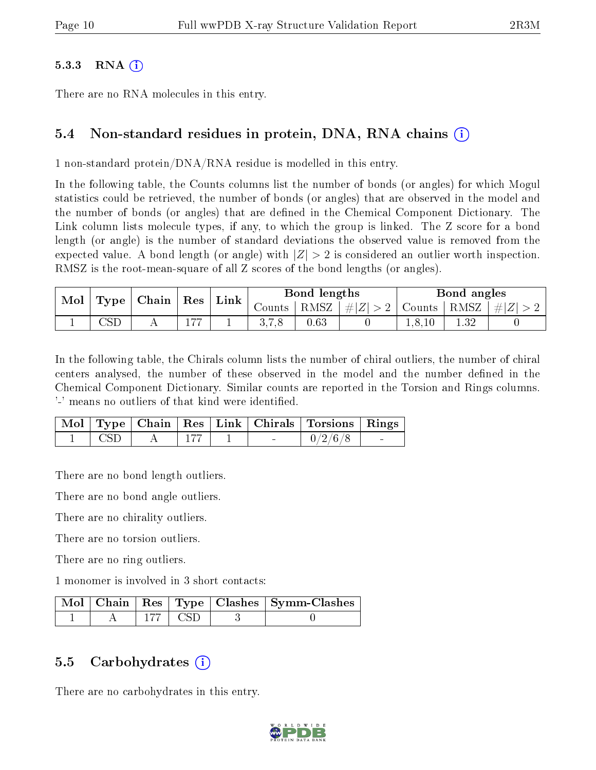#### $5.3.3$  RNA  $(i)$

There are no RNA molecules in this entry.

#### 5.4 Non-standard residues in protein, DNA, RNA chains (i)

1 non-standard protein/DNA/RNA residue is modelled in this entry.

In the following table, the Counts columns list the number of bonds (or angles) for which Mogul statistics could be retrieved, the number of bonds (or angles) that are observed in the model and the number of bonds (or angles) that are defined in the Chemical Component Dictionary. The Link column lists molecule types, if any, to which the group is linked. The Z score for a bond length (or angle) is the number of standard deviations the observed value is removed from the expected value. A bond length (or angle) with  $|Z| > 2$  is considered an outlier worth inspection. RMSZ is the root-mean-square of all Z scores of the bond lengths (or angles).

| $\perp$ Type $\parallel$ Chain $\parallel$ Res<br>Mol |  | Link                            |  | Bond lengths |          | Bond angles |               |     |           |
|-------------------------------------------------------|--|---------------------------------|--|--------------|----------|-------------|---------------|-----|-----------|
|                                                       |  |                                 |  | Counts       | RMSZ     | $\# Z  > 2$ | Counts   RMSZ |     | $\pm  Z $ |
|                                                       |  | $H \rightarrow H \rightarrow H$ |  |              | $0.63\,$ |             |               | .32 |           |

In the following table, the Chirals column lists the number of chiral outliers, the number of chiral centers analysed, the number of these observed in the model and the number defined in the Chemical Component Dictionary. Similar counts are reported in the Torsion and Rings columns. '-' means no outliers of that kind were identified.

|      |  |  | Mol   Type   Chain   Res   Link   Chirals   Torsions   Rings |        |
|------|--|--|--------------------------------------------------------------|--------|
| -CSD |  |  | 0/2/6/8                                                      | $\sim$ |

There are no bond length outliers.

There are no bond angle outliers.

There are no chirality outliers.

There are no torsion outliers.

There are no ring outliers.

1 monomer is involved in 3 short contacts:

|  |       | Mol   Chain   Res   Type   Clashes   Symm-Clashes |
|--|-------|---------------------------------------------------|
|  | E CSD |                                                   |

#### 5.5 Carbohydrates  $(i)$

There are no carbohydrates in this entry.

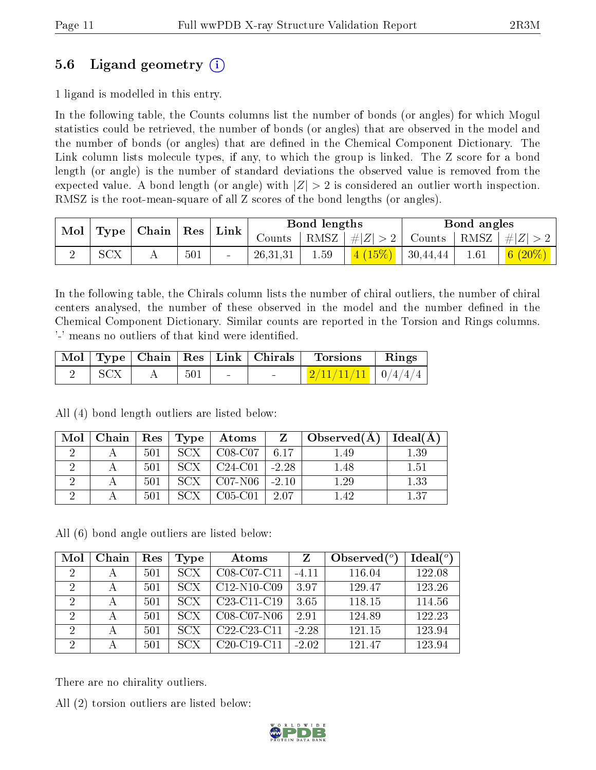### 5.6 Ligand geometry (i)

1 ligand is modelled in this entry.

In the following table, the Counts columns list the number of bonds (or angles) for which Mogul statistics could be retrieved, the number of bonds (or angles) that are observed in the model and the number of bonds (or angles) that are dened in the Chemical Component Dictionary. The Link column lists molecule types, if any, to which the group is linked. The Z score for a bond length (or angle) is the number of standard deviations the observed value is removed from the expected value. A bond length (or angle) with  $|Z| > 2$  is considered an outlier worth inspection. RMSZ is the root-mean-square of all Z scores of the bond lengths (or angles).

| $\mid$ Type $\mid$ Chain $\mid$ Res $\mid$ Link<br>Mol |     |  |          | Bond lengths |                                                                         | Bond angles                                       |      |            |
|--------------------------------------------------------|-----|--|----------|--------------|-------------------------------------------------------------------------|---------------------------------------------------|------|------------|
|                                                        |     |  | Counts 1 |              | $\mid$ RMSZ $\mid \#  Z  > 2 \mid$ Counts $\mid$ RMSZ $\mid \#  Z  > 2$ |                                                   |      |            |
|                                                        | SCX |  | 501      | 26,31,31     | 1.59                                                                    | $\left  \frac{4(15\%)}{4(15\%)} \right $ 30,44,44 | 1.61 | 6 $(20\%)$ |

In the following table, the Chirals column lists the number of chiral outliers, the number of chiral centers analysed, the number of these observed in the model and the number defined in the Chemical Component Dictionary. Similar counts are reported in the Torsion and Rings columns. '-' means no outliers of that kind were identified.

|  |        | Mol   Type   Chain   Res   Link   Chirals | Torsions                                | $\parallel$ Rings |
|--|--------|-------------------------------------------|-----------------------------------------|-------------------|
|  | $-501$ |                                           | $\mid$ 2/11/11/11 $\mid$ 0/4/4/4 $\mid$ |                   |

All (4) bond length outliers are listed below:

| Mol | $\perp$ Chain $\perp$ | $\vert$ Res $\vert$ | Type       | Atoms     | Z       | Observed(A) | Ideal(A) |
|-----|-----------------------|---------------------|------------|-----------|---------|-------------|----------|
|     |                       | 501                 | <b>SCX</b> | $C08-C07$ | 6.17    | 1.49        | 1.39     |
|     |                       | 501                 | SCX.       | $C24-C01$ | $-2.28$ | 1.48        | 151      |
|     |                       | 501                 | <b>SCX</b> | $CO7-N06$ | $-2.10$ | 1.29        | $1.33\,$ |
|     |                       | 501                 |            | $C05-C01$ | 2.07    | 1.42        | 137      |

All (6) bond angle outliers are listed below:

| Mol                         | Chain | Res | Type             | Atoms                                             | Z       | Observed $(°)$ | Ideal(°) |
|-----------------------------|-------|-----|------------------|---------------------------------------------------|---------|----------------|----------|
| $\overline{2}$              |       | 501 | <b>SCX</b>       | C08-C07-C11                                       | $-4.11$ | 116.04         | 122.08   |
| 2                           |       | 501 | SCX              | $C12-N10-C09$                                     | 3.97    | 129.47         | 123.26   |
| $\overline{2}$              |       | 501 | SCX <sup>1</sup> | C <sub>23</sub> -C <sub>11</sub> -C <sub>19</sub> | 3.65    | 118.15         | 114.56   |
| 2                           | А     | 501 | SCX              | $C08-C07-N06$                                     | 2.91    | 124.89         | 122.23   |
| $\mathcal{D}_{\mathcal{A}}$ |       | 501 | SCX              | $C22-C23-C11$                                     | $-2.28$ | 121.15         | 123.94   |
| $\mathcal{D}$               |       | 501 | SCX              | $C20-C19-C11$                                     | $-2.02$ | 121.47         | 123.94   |

There are no chirality outliers.

All (2) torsion outliers are listed below:

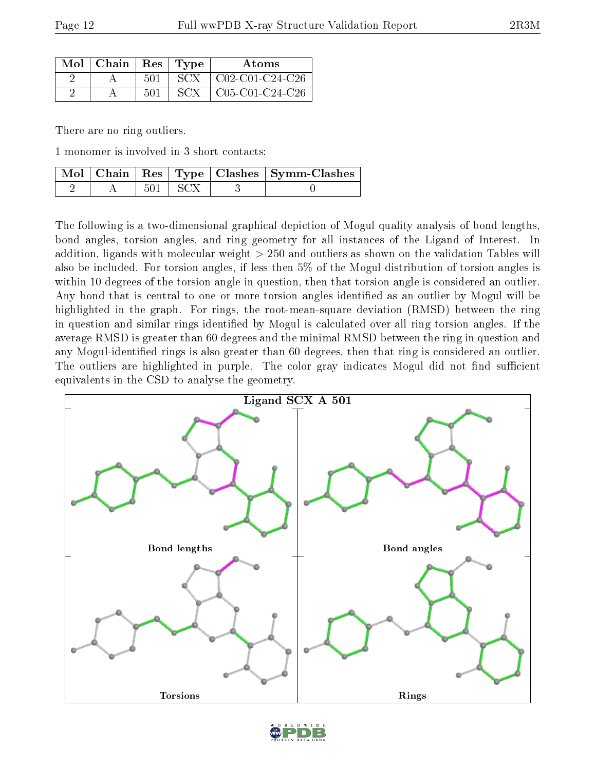| $Mol$   Chain   Res   Type |     |       | <b>Atoms</b>           |
|----------------------------|-----|-------|------------------------|
|                            | 501 | SCX = | $\mid$ C02-C01-C24-C26 |
|                            | 501 | SCX.  | $C05-C01-C24-C26$      |

There are no ring outliers.

1 monomer is involved in 3 short contacts:

|  |             | Mol   Chain   Res   Type   Clashes   Symm-Clashes |
|--|-------------|---------------------------------------------------|
|  | $501 + SCX$ |                                                   |

The following is a two-dimensional graphical depiction of Mogul quality analysis of bond lengths, bond angles, torsion angles, and ring geometry for all instances of the Ligand of Interest. In addition, ligands with molecular weight > 250 and outliers as shown on the validation Tables will also be included. For torsion angles, if less then 5% of the Mogul distribution of torsion angles is within 10 degrees of the torsion angle in question, then that torsion angle is considered an outlier. Any bond that is central to one or more torsion angles identified as an outlier by Mogul will be highlighted in the graph. For rings, the root-mean-square deviation (RMSD) between the ring in question and similar rings identified by Mogul is calculated over all ring torsion angles. If the average RMSD is greater than 60 degrees and the minimal RMSD between the ring in question and any Mogul-identified rings is also greater than 60 degrees, then that ring is considered an outlier. The outliers are highlighted in purple. The color gray indicates Mogul did not find sufficient equivalents in the CSD to analyse the geometry.



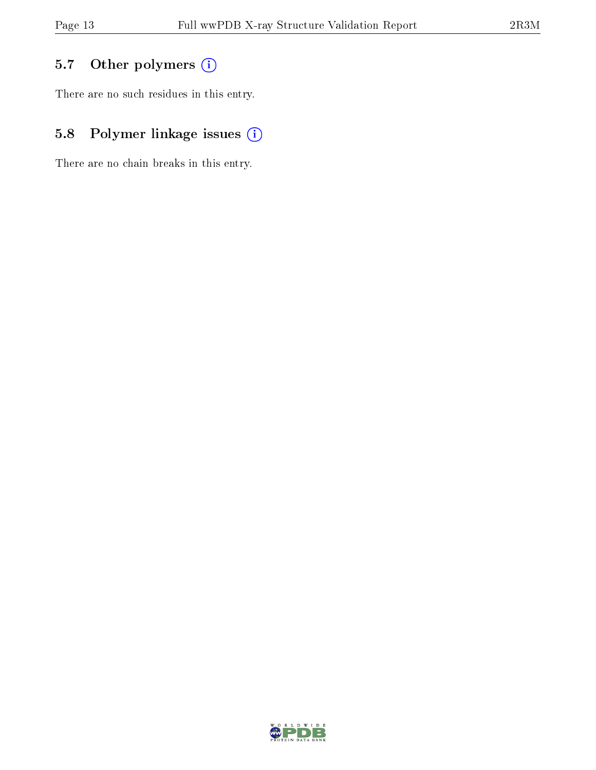### 5.7 [O](https://www.wwpdb.org/validation/2017/XrayValidationReportHelp#nonstandard_residues_and_ligands)ther polymers (i)

There are no such residues in this entry.

### 5.8 Polymer linkage issues (i)

There are no chain breaks in this entry.

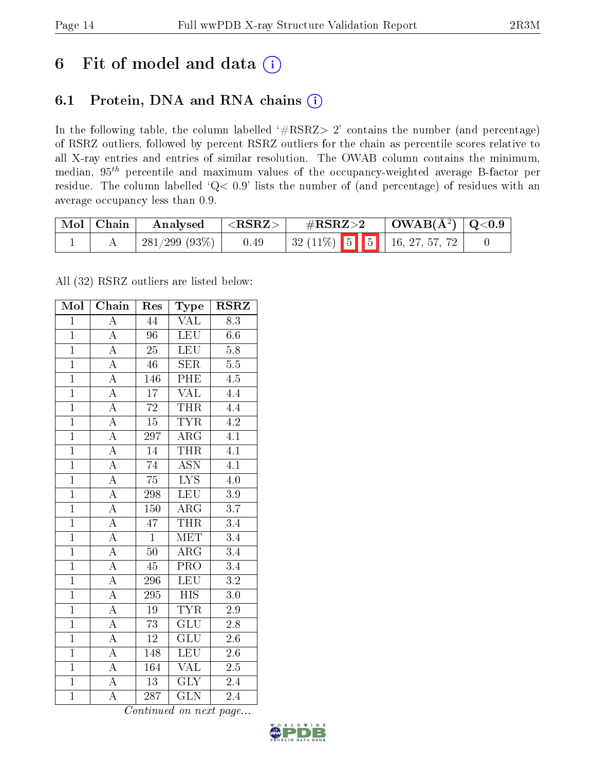## 6 Fit of model and data  $(i)$

### 6.1 Protein, DNA and RNA chains  $(i)$

In the following table, the column labelled  $#RSRZ> 2'$  contains the number (and percentage) of RSRZ outliers, followed by percent RSRZ outliers for the chain as percentile scores relative to all X-ray entries and entries of similar resolution. The OWAB column contains the minimum, median,  $95<sup>th</sup>$  percentile and maximum values of the occupancy-weighted average B-factor per residue. The column labelled ' $Q< 0.9$ ' lists the number of (and percentage) of residues with an average occupancy less than 0.9.

| $\mid$ Mol $\mid$ Chain | Analysed         | ${ <\hspace{-1.5pt}{\mathrm{RSRZ}} \hspace{-1.5pt}>}$ | $\#\text{RSRZ}\text{>2}$      |  | $\vert$ OWAB( $A^2$ ) $\vert$ Q<0.9 |  |
|-------------------------|------------------|-------------------------------------------------------|-------------------------------|--|-------------------------------------|--|
|                         | $-281/299(93\%)$ | 0.49                                                  | $32(11\%)$ 5 5 16, 27, 57, 72 |  |                                     |  |

All (32) RSRZ outliers are listed below:

| Mol            | Chain                   | Res              | Type                      | $\rm \bf RSRZ$   |
|----------------|-------------------------|------------------|---------------------------|------------------|
| $\mathbf{1}$   | $\overline{\rm A}$      | 44               | VAL                       | 8.3              |
| $\mathbf{1}$   | $\overline{A}$          | $\overline{96}$  | <b>LEU</b>                | $6.6\,$          |
| $\mathbf{1}$   | $\overline{A}$          | $\overline{25}$  | <b>LEU</b>                | 5.8              |
| $\overline{1}$ | $\overline{\rm A}$      | 46               | <b>SER</b>                | $\overline{5.5}$ |
| $\overline{1}$ | $\overline{\rm A}$      | 146              | PHE                       | $\overline{4.5}$ |
| $\overline{1}$ | $\overline{A}$          | $\overline{17}$  | <b>VAL</b>                | $\overline{4.4}$ |
| $\overline{1}$ | $\overline{A}$          | $\overline{72}$  | THR                       | 4.4              |
| $\overline{1}$ | $\overline{A}$          | $\overline{15}$  | <b>TYR</b>                | $\overline{4.2}$ |
| $\overline{1}$ | $\overline{A}$          | 297              | $\overline{\rm{ARG}}$     | $\overline{4.1}$ |
| $\overline{1}$ | $\overline{A}$          | $\overline{14}$  | <b>THR</b>                | $\overline{4.1}$ |
| $\overline{1}$ | $\overline{\rm A}$      | $\overline{74}$  | $\overline{\mathrm{ASN}}$ | $\overline{4.1}$ |
| $\overline{1}$ | $\overline{A}$          | $\overline{75}$  | $\overline{\text{LYS}}$   | $\overline{4.0}$ |
| $\overline{1}$ | $\overline{A}$          | 298              | <b>LEU</b>                | 3.9              |
| $\mathbf{1}$   | $\overline{A}$          | 150              | $\rm{ARG}$                | $\overline{3.7}$ |
| $\overline{1}$ | $\overline{A}$          | $\overline{47}$  | <b>THR</b>                | 3.4              |
| $\overline{1}$ | $\overline{A}$          | $\overline{1}$   | $\overline{\text{MET}}$   | $\overline{3.4}$ |
| $\overline{1}$ | $\overline{A}$          | $50\,$           | $\overline{\rm{ARG}}$     | $\overline{3.4}$ |
| $\mathbf{1}$   | $\overline{\rm A}$      | $\rm 45$         | $\overline{\text{PRO}}$   | $\overline{3.4}$ |
| $\mathbf{1}$   | $\overline{A}$          | 296              | <b>LEU</b>                | $3.2\,$          |
| $\overline{1}$ | $\overline{\rm A}$      | 295              | <b>HIS</b>                | $\overline{3.0}$ |
| $\overline{1}$ | $\overline{\rm A}$      | $19\,$           | <b>TYR</b>                | $2.9\,$          |
| $\overline{1}$ | $\overline{A}$          | $\overline{73}$  | $\overline{\text{GLU}}$   | $\overline{2.8}$ |
| $\overline{1}$ | A                       | $12\,$           | GLU                       | $2.6\,$          |
| $\overline{1}$ | $\overline{A}$          | 148              | <b>LEU</b>                | $2.6\,$          |
| $\overline{1}$ | $\overline{\mathbf{A}}$ | 164              | VAL                       | 2.5              |
| $\overline{1}$ | A                       | $\overline{13}$  | <b>GLY</b>                | 2.4              |
| $\overline{1}$ | $\overline{\rm A}$      | $\overline{287}$ | $\overline{\text{GLN}}$   | $\overline{2.4}$ |

Continued on next page...

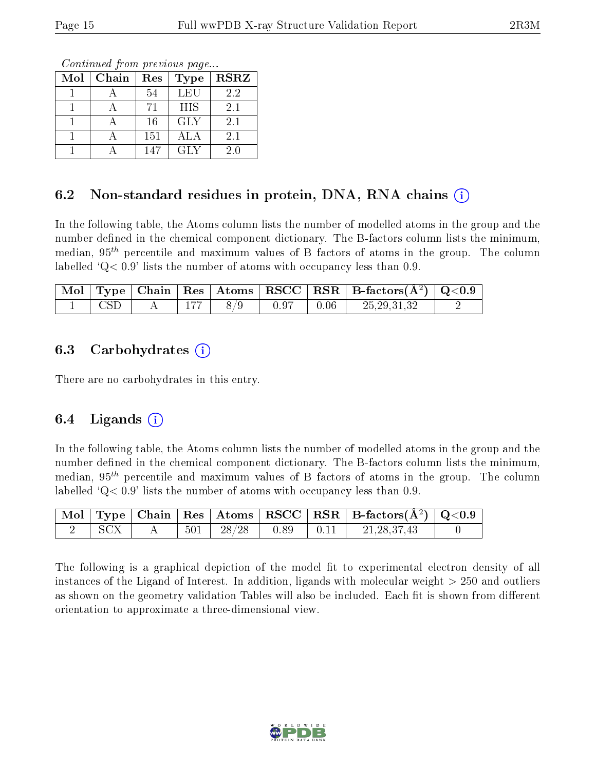Continued from previous page...

| Mol | Chain | Res | <b>Type</b> | <b>RSRZ</b> |
|-----|-------|-----|-------------|-------------|
|     |       | 54  | LEU         | 2.2         |
|     |       | 71  | <b>HIS</b>  | 2.1         |
|     |       | 16  | <b>GLY</b>  | 2.1         |
|     |       | 151 | ALA         | 2.1         |
|     |       | 147 | GLY         | 2.0         |

#### 6.2 Non-standard residues in protein, DNA, RNA chains (i)

In the following table, the Atoms column lists the number of modelled atoms in the group and the number defined in the chemical component dictionary. The B-factors column lists the minimum, median,  $95<sup>th</sup>$  percentile and maximum values of B factors of atoms in the group. The column labelled  $Q< 0.9$ ' lists the number of atoms with occupancy less than 0.9.

|                    |     |     |      |      | $\sqrt{\text{Mol} + \text{Type} + \text{Chain} + \text{Res} + \text{Atoms} + \text{RSCC} + \text{RSR} + \text{B-factors}(\AA^2) + \text{Q}<0.9}$ |  |
|--------------------|-----|-----|------|------|--------------------------------------------------------------------------------------------------------------------------------------------------|--|
| $\mathop{\rm CSD}$ | 177 | 8/9 | 0.97 | 0.06 | 25, 29, 31, 32                                                                                                                                   |  |

#### 6.3 Carbohydrates  $(i)$

There are no carbohydrates in this entry.

#### 6.4 Ligands  $(i)$

In the following table, the Atoms column lists the number of modelled atoms in the group and the number defined in the chemical component dictionary. The B-factors column lists the minimum, median,  $95<sup>th</sup>$  percentile and maximum values of B factors of atoms in the group. The column labelled  $Q< 0.9$  lists the number of atoms with occupancy less than 0.9.

|       |  |                                                                               |                                                                   | $\boxed{\text{ Mol}}$ Type   Chain   Res   Atoms   RSCC   RSR   B-factors $(\AA^2)$   Q<0.9 |  |
|-------|--|-------------------------------------------------------------------------------|-------------------------------------------------------------------|---------------------------------------------------------------------------------------------|--|
| – SCX |  | $\begin{array}{ c c c c c c } \hline 501 & 28/28 & 0.89 \ \hline \end{array}$ | $\begin{array}{ c c c c c c } \hline 0.11 & \\\hline \end{array}$ | 21, 28, 37, 43                                                                              |  |

The following is a graphical depiction of the model fit to experimental electron density of all instances of the Ligand of Interest. In addition, ligands with molecular weight  $> 250$  and outliers as shown on the geometry validation Tables will also be included. Each fit is shown from different orientation to approximate a three-dimensional view.